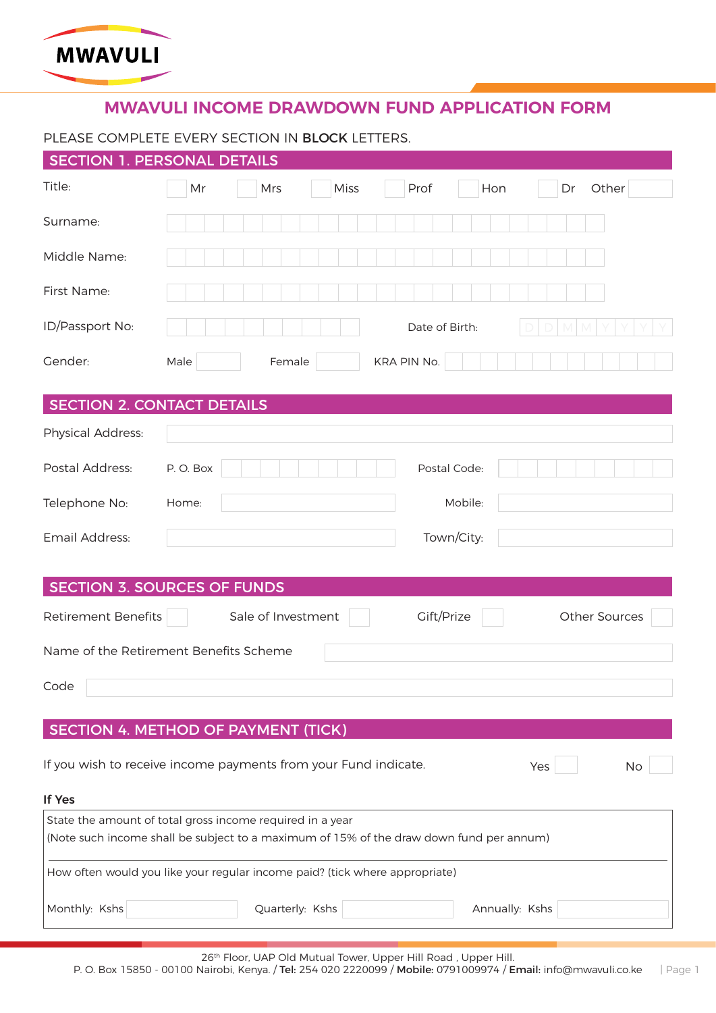

# **MWAVULI INCOME DRAWDOWN FUND APPLICATION FORM**

## PLEASE COMPLETE EVERY SECTION IN BLOCK LETTERS.

|                                                                                                                                                      | <b>SECTION 1. PERSONAL DETAILS</b>                       |  |  |  |
|------------------------------------------------------------------------------------------------------------------------------------------------------|----------------------------------------------------------|--|--|--|
| Title:                                                                                                                                               | Other<br>Mr<br>Mrs<br><b>Miss</b><br>Prof<br>Hon<br>Dr   |  |  |  |
| Surname:                                                                                                                                             |                                                          |  |  |  |
| Middle Name:                                                                                                                                         |                                                          |  |  |  |
| First Name:                                                                                                                                          |                                                          |  |  |  |
| ID/Passport No:                                                                                                                                      | Date of Birth:                                           |  |  |  |
| Gender:                                                                                                                                              | Male<br>KRA PIN No.<br>Female                            |  |  |  |
| <b>SECTION 2. CONTACT DETAILS</b>                                                                                                                    |                                                          |  |  |  |
| Physical Address:                                                                                                                                    |                                                          |  |  |  |
| Postal Address:                                                                                                                                      | P.O. Box<br>Postal Code:                                 |  |  |  |
| Telephone No:                                                                                                                                        | Home:<br>Mobile:                                         |  |  |  |
| Email Address:                                                                                                                                       | Town/City:                                               |  |  |  |
|                                                                                                                                                      | <b>SECTION 3. SOURCES OF FUNDS</b>                       |  |  |  |
| Retirement Benefits                                                                                                                                  | Sale of Investment<br>Gift/Prize<br><b>Other Sources</b> |  |  |  |
|                                                                                                                                                      | Name of the Retirement Benefits Scheme                   |  |  |  |
| Code                                                                                                                                                 |                                                          |  |  |  |
|                                                                                                                                                      |                                                          |  |  |  |
| SECTION 4. METHOD OF PAYMENT (TICK)                                                                                                                  |                                                          |  |  |  |
| If you wish to receive income payments from your Fund indicate.<br>Yes<br>No                                                                         |                                                          |  |  |  |
| If Yes                                                                                                                                               |                                                          |  |  |  |
| State the amount of total gross income required in a year<br>(Note such income shall be subject to a maximum of 15% of the draw down fund per annum) |                                                          |  |  |  |
| How often would you like your regular income paid? (tick where appropriate)                                                                          |                                                          |  |  |  |
| Monthly: Kshs                                                                                                                                        | Quarterly: Kshs<br>Annually: Kshs                        |  |  |  |
|                                                                                                                                                      |                                                          |  |  |  |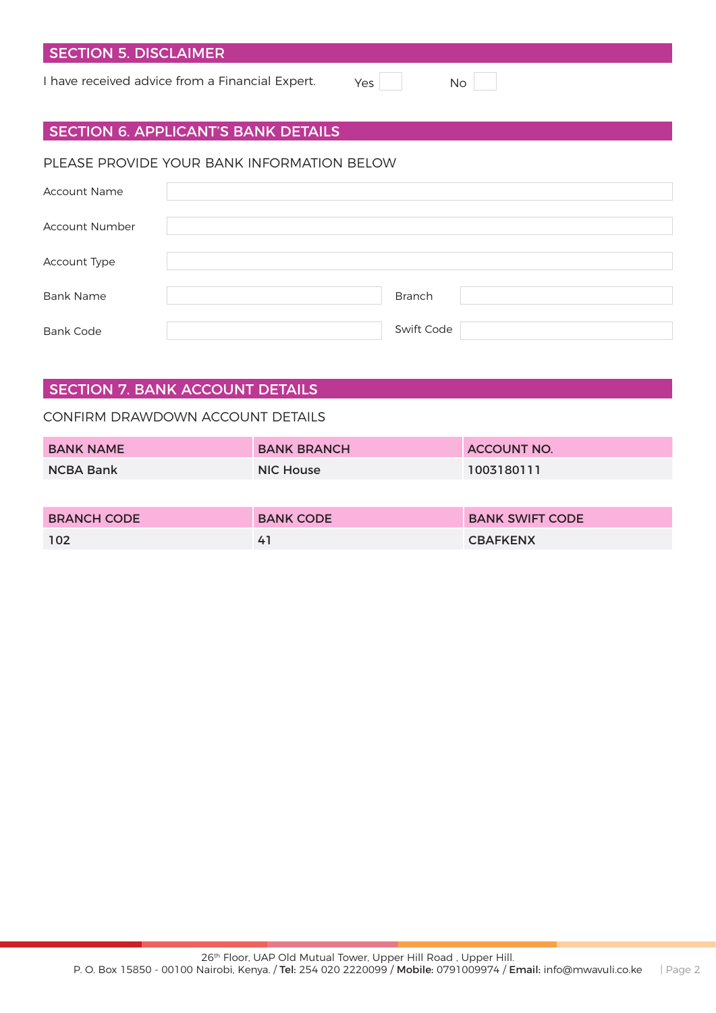## SECTION 5. DISCLAIMER

I have received advice from a Financial Expert. Yes No

| . . |  |
|-----|--|
|-----|--|

### SECTION 6. APPLICANT'S BANK DETAILS

#### PLEASE PROVIDE YOUR BANK INFORMATION BELOW

| <b>Account Name</b>   |               |
|-----------------------|---------------|
| <b>Account Number</b> |               |
| Account Type          |               |
| <b>Bank Name</b>      | <b>Branch</b> |
| <b>Bank Code</b>      | Swift Code    |

## SECTION 7. BANK ACCOUNT DETAILS

#### CONFIRM DRAWDOWN ACCOUNT DETAILS

| <b>BANK NAME</b>   | <b>BANK BRANCH</b> | <b>ACCOUNT NO.</b>     |
|--------------------|--------------------|------------------------|
| <b>NCBA Bank</b>   | <b>NIC House</b>   | 1003180111             |
|                    |                    |                        |
| <b>BRANCH CODE</b> | <b>BANK CODE</b>   | <b>BANK SWIFT CODE</b> |
| 102                | 41                 | <b>CBAFKENX</b>        |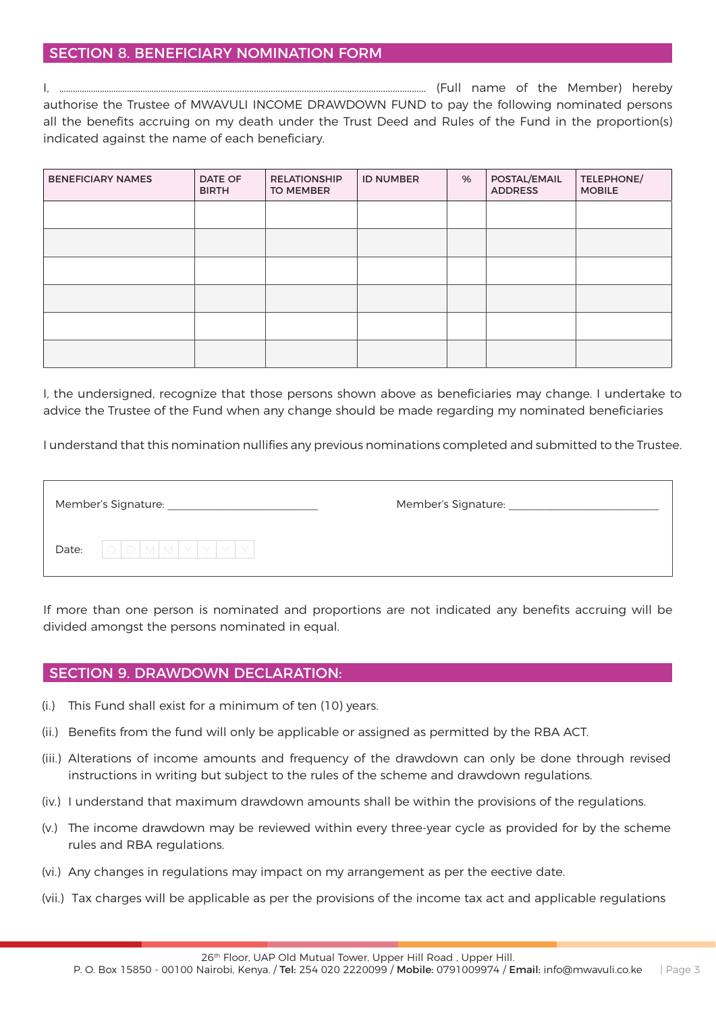### SECTION 8. BENEFICIARY NOMINATION FORM

I, ……………………………………………………….............................................................................................. (Full name of the Member) hereby authorise the Trustee of MWAVULI INCOME DRAWDOWN FUND to pay the following nominated persons all the benefits accruing on my death under the Trust Deed and Rules of the Fund in the proportion(s) indicated against the name of each beneficiary.

| <b>BENEFICIARY NAMES</b> | <b>DATE OF</b><br><b>BIRTH</b> | <b>RELATIONSHIP</b><br><b>TO MEMBER</b> | <b>ID NUMBER</b> | % | POSTAL/EMAIL<br><b>ADDRESS</b> | TELEPHONE/<br><b>MOBILE</b> |
|--------------------------|--------------------------------|-----------------------------------------|------------------|---|--------------------------------|-----------------------------|
|                          |                                |                                         |                  |   |                                |                             |
|                          |                                |                                         |                  |   |                                |                             |
|                          |                                |                                         |                  |   |                                |                             |
|                          |                                |                                         |                  |   |                                |                             |
|                          |                                |                                         |                  |   |                                |                             |
|                          |                                |                                         |                  |   |                                |                             |

I, the undersigned, recognize that those persons shown above as beneficiaries may change. I undertake to advice the Trustee of the Fund when any change should be made regarding my nominated beneficiaries

I understand that this nomination nullifies any previous nominations completed and submitted to the Trustee.

| Member's Signature: |                        | Member's Signature: |
|---------------------|------------------------|---------------------|
| Date:               | $ D D M M Y Y Y Y Y .$ |                     |

If more than one person is nominated and proportions are not indicated any benefits accruing will be divided amongst the persons nominated in equal.

#### SECTION 9. DRAWDOWN DECLARATION:

- (i.) This Fund shall exist for a minimum of ten (10) years.
- (ii.) Benefits from the fund will only be applicable or assigned as permitted by the RBA ACT.
- (iii.) Alterations of income amounts and frequency of the drawdown can only be done through revised instructions in writing but subject to the rules of the scheme and drawdown regulations.
- (iv.) I understand that maximum drawdown amounts shall be within the provisions of the regulations.
- (v.) The income drawdown may be reviewed within every three-year cycle as provided for by the scheme rules and RBA regulations.
- (vi.) Any changes in regulations may impact on my arrangement as per the eective date.
- (vii.) Tax charges will be applicable as per the provisions of the income tax act and applicable regulations